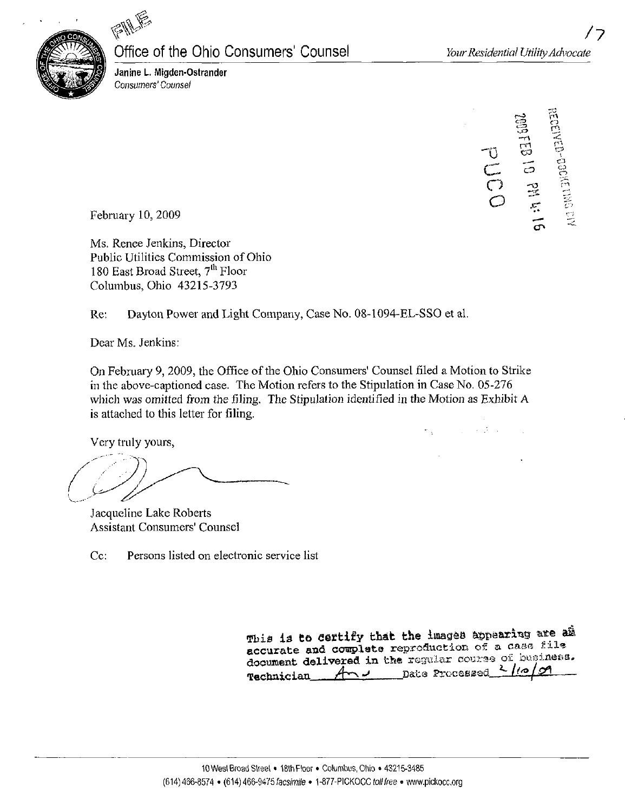

### Office of the Ohio Consumers' Counsel

Janine L. Migden-Ostrander Consumers' Counsel

 $\sum$  $\omega$  $\varphi$ CT C.3  $\mathcal{D}% _{t}\left( t\right)$ CT\*

 $\bullet$  . The set of the set of the set of the set of the set of the set of the set of the set of the set of the set of the set of the set of the set of the set of the set of the set of the set of the set of the set of the s

February 10,2009

Ms. Renee Jenkins, Director Public Utilities Commission of Ohio 180 East Broad Street, 7<sup>th</sup> Floor Columbus, Ohio 43215-3793

Re: Dayton Power and Light Company, Case No. 08-1094-EL-SSO et al.

Dear Ms. Jenkins:

On February 9, 2009, the Office of the Ohio Consumers' Counsel filed a Motion to Strike in the above-captioned case. The Motion refers to the Stipulation in Case No. 05-276 which was omitted from the filing. The Stipulation identified in the Motion as Exhibit A is attached to this letter for filing.

Very truly yours,

Jacqueline Lake Roberts Assistant Consumers' Counsel

Cc: Persons listed on electronic service list

|  | This is to certify that the images appearing are am   |  |  |  |  |  |
|--|-------------------------------------------------------|--|--|--|--|--|
|  | accurate and complete reproduction of a case file     |  |  |  |  |  |
|  | document delivered in the regular course of business. |  |  |  |  |  |
|  | Technician And Date Processed 2/10/09                 |  |  |  |  |  |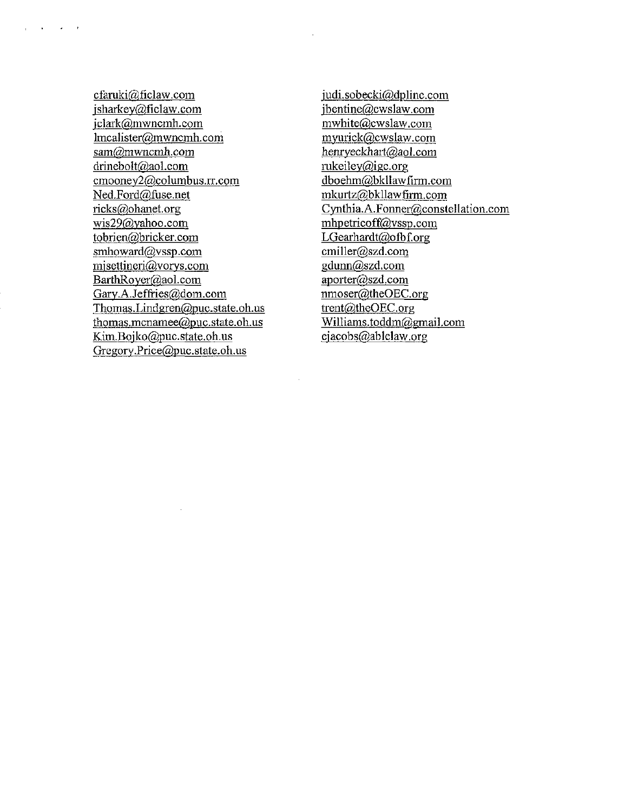cfamki@ficlaw. com [jsharkey@ficlaw.com](mailto:jsharkey@ficlaw.com)  jclark@mwncmh.com [lmcalister@mwncmh.com](mailto:lmcalister@mwncmh.com)  [sam@mwncmh.com](mailto:sam@mwncmh.com) [drinebolt@aol.com](mailto:drinebolt@aol.com) cmooney2@columbus.rr.com [Ned.Ford@fuse.net](mailto:Ned.Ford@fuse.net)  [ricks@ohanet.org](mailto:ricks@ohanet.org)  [wis29@vahoo.com](mailto:wis29@vahoo.com) tobrien@bricker.com smhoward@vssp.com misettineri@vorys.com BarthRover@aoI. com Gary.A.Jeffries@dom.com [Thomas.Lindgren@puc.state.oh.us](mailto:Thomas.Lindgren@puc.state.oh.us) [thomas.mcnamee@puc.state.oh.us](mailto:thomas.mcnamee@puc.state.oh.us) [Kim.Boiko@puc.state.oh.us](mailto:Kim.Boiko@puc.state.oh.us) Gregory Price@puc.state.oh.us

 $\mathbf{q} = \mathbf{q} + \mathbf{q}$  , where  $\mathbf{q}$ 

[iudi.sobecki@dplinc.com](mailto:iudi.sobecki@dplinc.com)  [ibentine@cwslaw.com](mailto:ibentine@cwslaw.com) [mwhite@cwslaw.com](mailto:mwhite@cwslaw.com) [myurick@cwslaw.com](mailto:myurick@cwslaw.com) [henryeckhait@aol.com](mailto:henryeckhait@aol.com) [rukeilev@igc.org](mailto:rukeilev@igc.org) [dboehm@bkllawfirm.com](mailto:dboehm@bkllawfirm.com)  [mkurtz@bkllawfirm.coin](mailto:mkurtz@bkllawfirm.coin)  Cynthia.A.Fonner@constellation.com mhpetricoff@vssp. com LGearhardt@ofbf.org [cmiller@szd.com](mailto:cmiller@szd.com)  [gdunn@szd.com](mailto:gdunn@szd.com)  aporter@szd.com nmoser@theOEC.org [trent@theOEC.org](mailto:trent@theOEC.org) Williams.toddm@gmail.com [ejacobs@ablelaw.org](mailto:ejacobs@ablelaw.org)

 $\mathcal{L}_{\rm{max}}$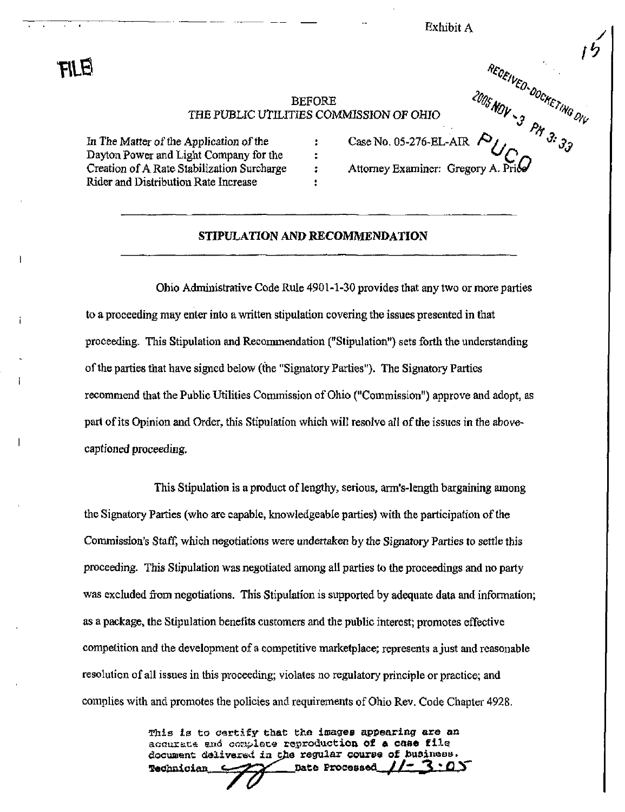Exhibit A

me

# BEFORE<br>
TIES COMMISSION OF OHIO
CASE No. 05-276-EL-AIR
Case No. 05-276-EL-AIR
Case No. 05-276-EL-AIR
Case No. 05-276-EL-AIR
Case No. 05-276-EL-AIR
Case No. 05-276-EL-AIR
Case No. 05-276-EL-AIR
Case No. 05-276-EL-AIR
Case THE PUBLIC UTILITIES COMMISSION OF OHIO

÷ ÷ ٠

In The Matter of the Application of the  $\cdot$   $\cdot$  Case No. 05-276-EL-AIR  $\prime$ Dayton Power and Light Company for the Creation of A Rate Stabilization Surcharge Rider and Distribution Rate Increase

Attorney Examiner: Gregory A.

#### STIPULATION AND RECOMMENDATION

Ohio Administrative Code Rule 4901-1-30 provides that any two or more parties to a proceeding may enter into a written stipulation covering the issues presented in that proceeding. This Stipulation and Recommendation ("Stipulation") sets forth the understanding of the parties that have signed below (the "Signatory Parties"). The Signatory Parties recommend that the Public Utilities Commission of Ohio ("Commission") approve and adopt, as part of its Opinion and Order, this Stipulation which will resolve all of the issues in the abovecaptioned proceeding.

This Stipulation is a product of lengthy, serious, arm's-length bargaining among the Signatory Parties (who are capable, knowledgeable parties) with the participation of the Commission's Staff, which negotiations were undertaken by the Signatory Parties to settle this proceeding. This Stipulation was negotiated among all parties to the proceedings and no party was excluded from negotiations. This Stipulation is supported by adequate data and information; as a package, the Stipulation benefits customers and the public interest; promotes effective competition and the development of a competitive marketplace; represents a just and reasonable resolution of all issues in this proceeding; violates no regulatory principle or practice; and complies with and promotes the policies and requirements of Ohio Rev. Code Chapter 4928.

> This is to certify that the images appearing are an acourate and complete reproduction of a case file document deliversd in the regular course of business.<br>Redunician  $\sim$ Technician  $\rightarrow$   $\rightarrow$  Date Processed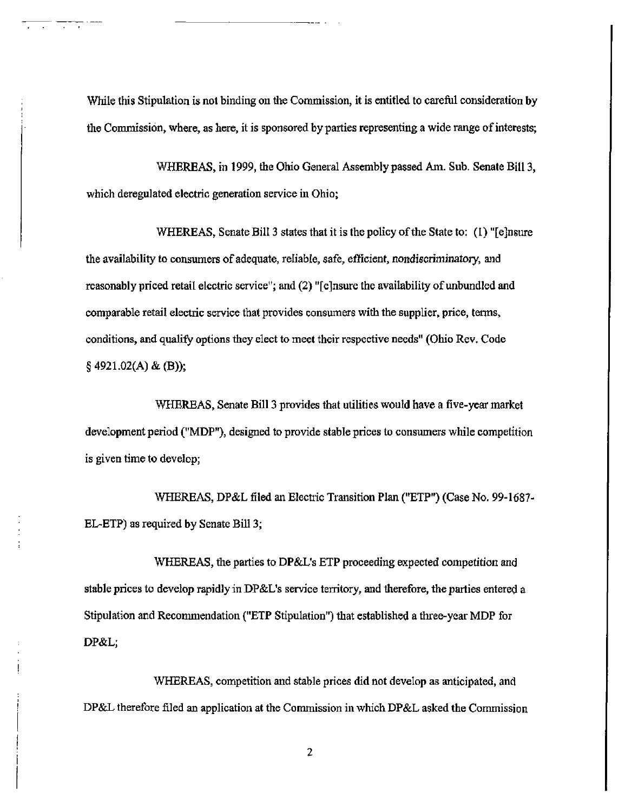While this Stipulation is not binding on the Commission, it is entitled to careful consideration by the Commission, where, as here, it is sponsored by parties representing a wide range of interests;

WHEREAS, in 1999, the Ohio General Assembly passed Am. Sub. Senate Bill 3, which deregulated electric generation service in Ohio;

WHEREAS, Senate Bill 3 states that it is the policy of the State to: (1) "[ejnsure the availabihty to consumers of adequate, reliable, safe, efficient, nondiscriminatory, and reasonably priced retail electric service"; and (2) "[ejnsure the availability of unbundled and comparable retail electric service that provides consumers with the supplier, price, terms, conditions, and qualify options they elect to meet their respective needs" (Ohio Rev. Code  $§$  4921.02(A) & (B));

WHEREAS, Senate Bill 3 provides that utilities would have a five-year market development period ("MDP"), designed to provide stable prices to consumers while competition is given time to develop;

WHEREAS, DP&L filed an Electric Transition Plan ("ETP") (Case No. 99-1687- EL-ETP) as required by Senate Bill 3;

WHEREAS, the parties to DP&L's ETP proceeding expected competition and stable prices to develop rapidly in DP&L's service territory, and therefore, the parties entered a Stipulation and Recommendation ("ETP Stipulation") that estabhshed a three-year MDP for DP&L;

WHEREAS, competition and stable prices did not develop as anticipated, and DP&L therefore filed an application at the Commission in which DP&L asked the Commission

 $\overline{2}$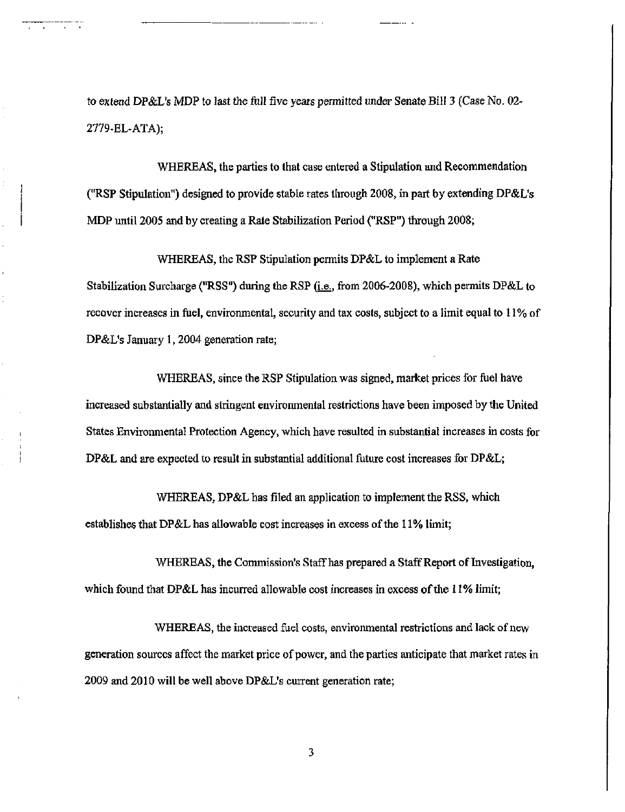to extend DP&L's MDP to last the full five years permitted under Senate Bill 3 (Case No. 02- 2779-EL-ATA);

WHEREAS, the parties to that case entered a Stipulation and Recommendation ("RSP Stipulation") designed to provide stable rates through 2008, in part by extending DP&L's MDP until 2005 and by creating a Rate Stabihzation Period ("RSP") through 2008;

WHEREAS, the RSP Stipulation permits DP&L to implement a Rate Stabilization Surcharge ("RSS") during the RSP (*i.e.*, from 2006-2008), which permits DP&L to recover increases in fuel, environmental, security and tax costs, subject to a limit equal to 11% of DP&L's January 1, 2004 generation rate;

WHEREAS, since the RSP Stipulation was signed, market prices for fuel have mcreased substantially and stringent enviromnental restrictions have been imposed by the United States Environmental Protection Agency, which have resulted in substantial increases in costs for DP&L and are expected to result in substantial additional future cost increases for DP&L;

WHEREAS, DP&L has filed an application to implement the RSS, which establishes that DP&L has allowable cost increases in excess of the 11% limit;

WHEREAS, the Commission's Staff has prepared a Staff Report of Investigation, which found that DP&L has incurred allowable cost increases in excess of the 11% limit;

WHEREAS, the increased fuel costs, environmental restrictions and lack of new generation sources affect the market price of power, and the parties anticipate that market rates in 2009 and 2010 will be well above DP&L's current generation rate;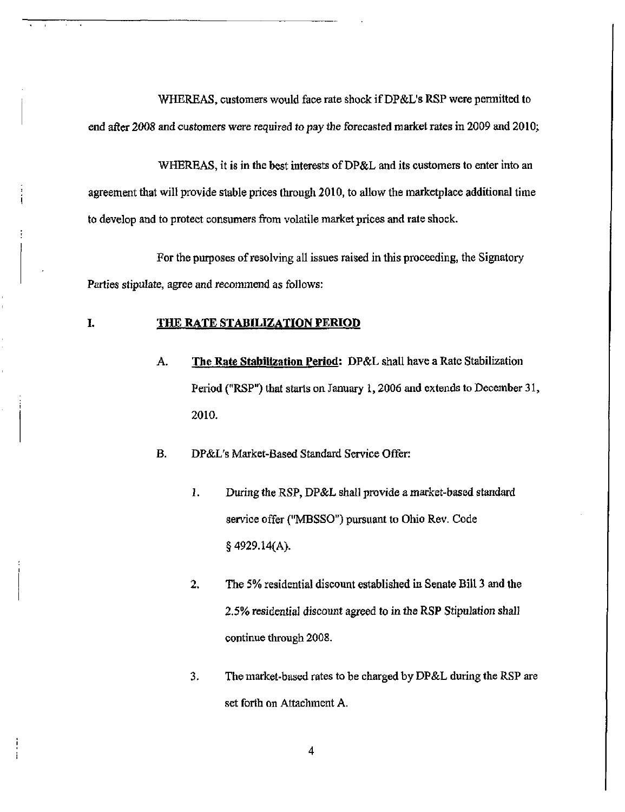WHEREAS, customers would face rate shock if DP&L's RSP were permitted to end after 2008 and customers were required to pay the forecasted market rates in 2009 and 2010;

WHEREAS, it is in the best interests of DP&L and its customers to enter into an agreement that will provide stable prices through 2010, to allow the marketplace additional time to develop and to protect consumers from volatile market prices and rate shock.

For the purposes of resolving all issues raised in this proceeding, the Signatory Parties stipulate, agree and recommend as follows:

#### I. THE RATE STABILIZATION PERIOD

A. The Rate Stabilization Period: DP&L shall have a Rate Stabilization Period ("RSP") that starts on January 1,2006 and extends to December 31, 2010.

B. DP&L's Market-Based Standard Service Offer:

- 1. During the RSP, DP&L shall provide a market-based standard service offer ("MBSSO") pursuant to Ohio Rev. Code § 4929.14(A).
- 2. The 5% residential discount established in Senate Bill 3 and the 2.5% residential discount agreed to in the RSP Stipulation shall continue through 2008.
- 3. The market-based rates to be charged by DP&L during the RSP are set forth on Attachment A.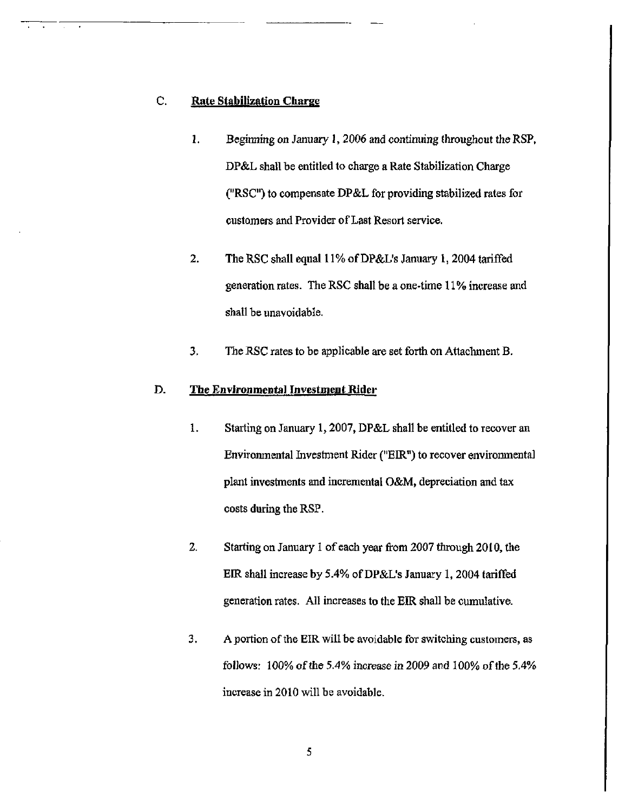#### C. Rate Stabilization Charge

- 1. Beginning on January 1,2006 and continuing throughout the RSP, DP&L shall be entitled to charge a Rate Stabilization Charge ("RSC") to compensate DP&L for providing stabilized rates for customers and Provider of Last Resort service.
- 2. The RSC shall equal 11% of DP&L's January 1, 2004 tariffed generation rates. The RSC shall be a one-time 11% increase and shall be unavoidable.
- 3. The RSC rates to be applicable are set forth on Attachment B.

#### D. The Environmental Investment Rider

- 1. Starting on January 1,2007, DP&L shall be entitled to recover an Environmental Investment Rider ("EIR") to recover environmental plant investments and incremental O&M, depreciation and tax costs during the RSP.
- 2. Starting on January 1 of each year from 2007 through 2010, the EIR shall mcrease by 5.4% of DP&L's January 1, 2004 tariffed generation rates. All increases to the EIR shall be cumulative.
- 3. A portion of the EIR will be avoidable for switching customers, as follows: 100% of the 5.4% increase in 2009 and 100% of the 5,4% increase in 2010 will be avoidable.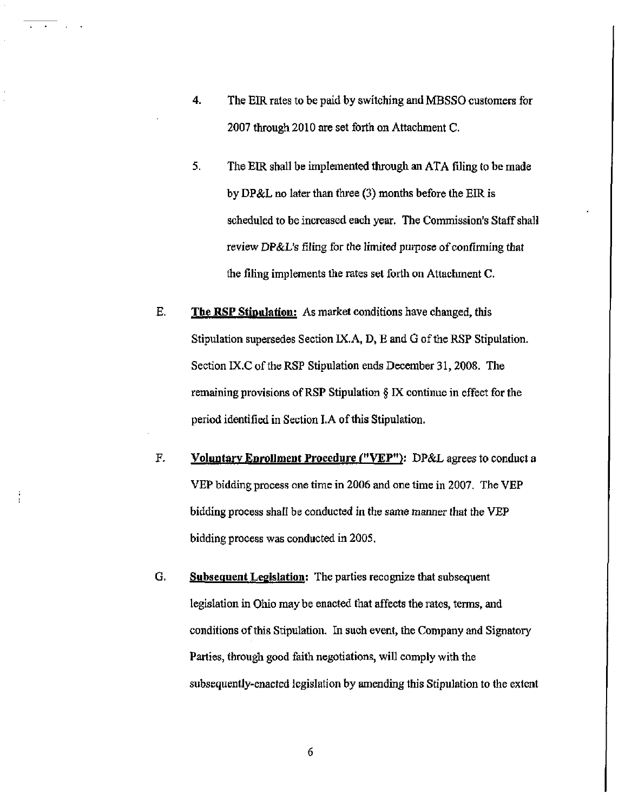- 4. The EIR rates to be paid by switching and MBSSO customers for 2007 through 2010 are set forth on Attachment C.
- 5. The EIR shall be implemented through an ATA filing to be made by DP&L no later than three (3) months before the EIR is scheduled to be increased each year. The Commission's Staff shall review DP&L's filing for the limited purpose of confirming that the filing implements the rates set forth on Attachment C.
- E. The RSP Stipulation: As market conditions have changed, this Stipulation supersedes Section IX. A, D, E and G of the RSP Stipulation. Section IX.C of the RSP Stipulation ends December 31,2008. The remaining provisions of RSP Stipulation  $\S$  IX continue in effect for the period identified in Section LA of this Stipulation.
- F. Voluntary Enrollment Procedure ("VEP"): DP&L agrees to conduct a VEP bidding process one time in 2006 and one time in 2007. The VEP bidding process shall be conducted in the same manner that the VBP bidding process was conducted in 2005.
- G. Subsequent Legislation: The parties recognize that subsequent legislation in Ohio may be enacted that affects the rates, terms, and conditions of this Stipulation. In such event, the Company and Signatory Parties, through good faith negotiations, wiU comply with the subsequently-enacted legislation by amending this Stipulation to the extent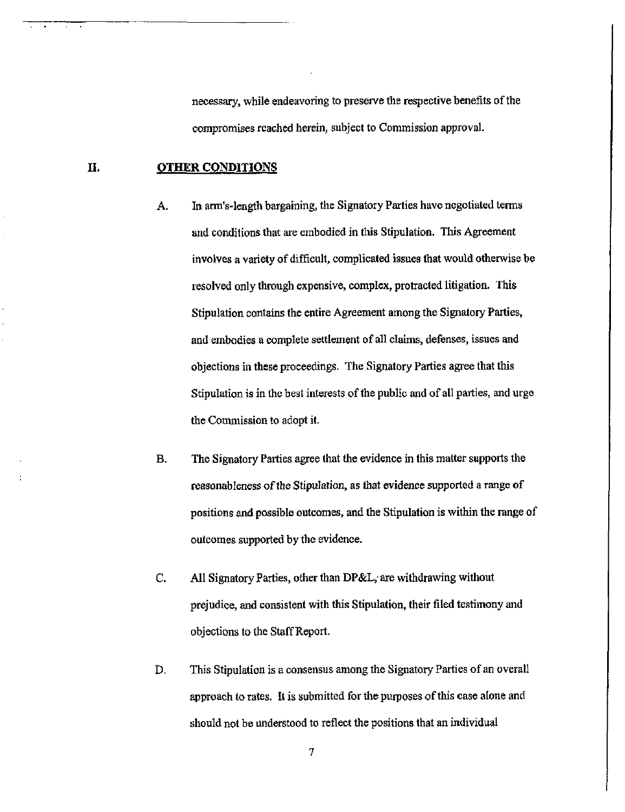necessary, while endeavoring to preserve the respective benefits of the compromises reached herein, subject to Commission approval.

#### II. OTHER CONDITIONS

- A. In arm's-length bargaining, the Signatory Parties have negotiated terms and conditions that are embodied in this Stipulation. This Agreement mvolves a variety of difficult, complicated issues that would otherwise be resolved only through expensive, complex, protracted litigation. This Stipulation contains the entire Agreement among the Signatory Parties, and embodies a complete settlement of all claims, defenses, issues and objections in these proceedings. The Signatory Parties agree that this Stipulation is in the best interests of the public and of all parties, and urge the Commission to adopt it.
- B. The Signatory Parties agree that the evidence in this matter supports the reasonableness of the Stipulation, as that evidence supported a range of positions and possible outcomes, and the Stipulation is within the range of outcomes supported by the evidence.
- C. All Signatory Parties, other than DP&L, are withdrawing without prejudice, and consistent with this Stipulation, their filed testimony and objections to the Staff Report.
- D. This Stipulation is a consensus among the Signatory Parties of an overall approach to rates. It is submitted for the purposes of this case alone and should not be understood to reflect the positions that an individual

 $\overline{7}$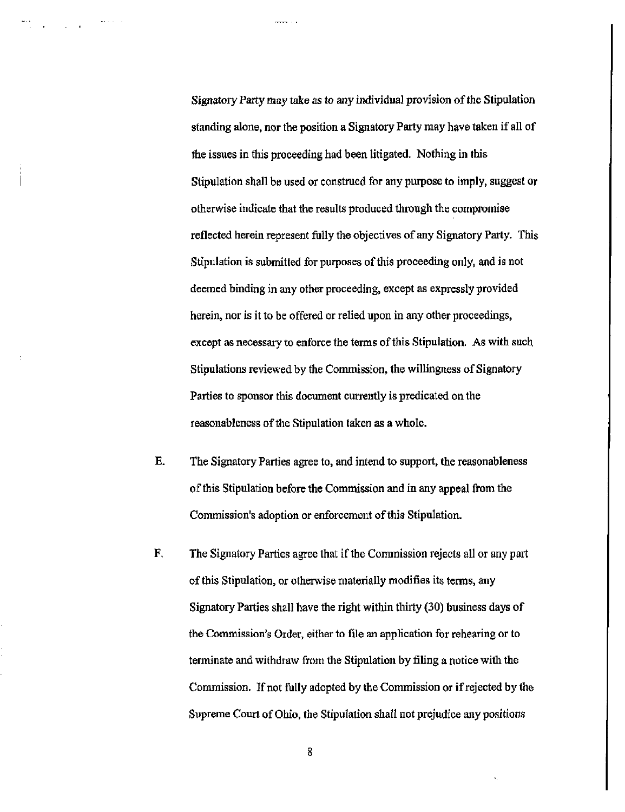Signatory Party may take as to any individual provision of the Stipulation standing alone, nor the position a Signatory Party may have taken if all of the issues in this proceeding had been litigated. Nothing in this Stipulation shall be used or construed for any purpose to imply, suggest or otherwise indicate that the results produced through the compromise reflected herein represent fully the objectives of any Signatory Party. This Stipulation is submitted for purposes of this proceeding only, and is not deemed binding in any other proceeding, except as expressly provided herein, nor is it to be offered or relied upon in any other proceedings, except as necessary to enforce the terms of this Stipulation. As with such Stipulations reviewed by the Commission, the willingness of Signatory Parties to sponsor this document currently is predicated on the reasonableness of the Stipulation taken as a whole.

- E. The Signatory Parties agree to, and intend to support, the reasonableness of this Stipulation before the Commission and in any appeal from the Commission's adoption or enforcement of this Stipulation.
- F. The Signatory Parties agree that if the Commission rejects all or any part of this Stipulation, or otherwise materially modifies its terms, any Signatory Parties shall have the right within thirty (30) business days of the Commission's Order, either to file an application for rehearing or to terminate and withdraw from the Stipulation by fihng a notice with the Commission. If not fully adopted by the Commission or if rejected by the Supreme Court of Ohio, the Stipulation shall not prejudice any positions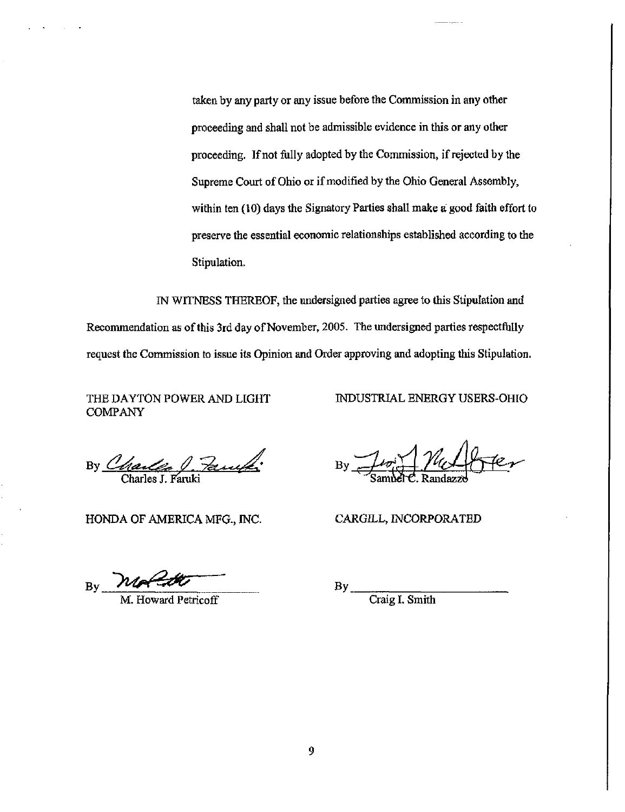taken by any party or any issue before the Commission in any other proceeding and shall not be admissible evidence in this or any other proceeding. If not fully adopted by the Commission, if rejected by the Supreme Court of Ohio or if modified by the Ohio General Assembly, within ten (10) days the Signatory Parties shall make a good faith effort to preserve the essential economic relationships established according to the Stipulation.

IN WITNESS THEREOF, the undersigned parties agree to this Stipulation and Recommendation as of this 3rd day of November, 2005. The undersigned parties respectfully request the Commission to issue its Opinion and Order approving and adopting this Stipulation.

THE DAYTON POWER AND LIGHT COMPANY

INDUSTRIAL ENERGY USERS-OHIO

By Charles J. Paula:

HONDA OF AMERICA MFG., INC. CARGILL, INCORPORATED

 $_{\rm{By}}$  not the

M. Howard Petricoff

By Juin Valbrer Sambel<sup>C</sup>. Randazzo

 $By_$ 

Craig I. Smith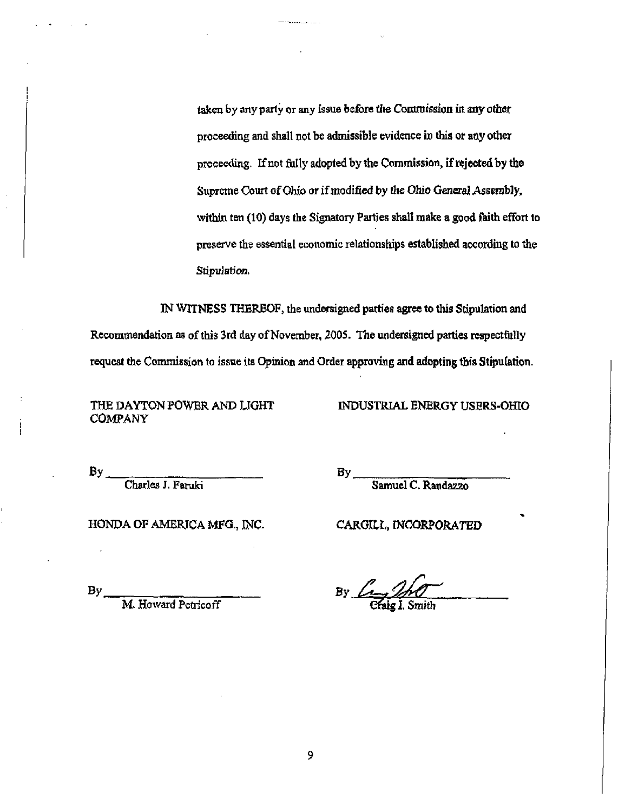taken by any party or any issue before the Commission in any other proceeding and shall not be admissible evidence in this or any other proceeding. If not fully adopted by the Commission, if rejected by the Supreme Court of Ohio or if modified by the Ohio General Assembly, within ten (10) days the Signatory Parties shall make a good faith effort to preserve the essential economic relationships established according to the Stipulation.

IN WITNESS THEREOF, the undersigned parties agree to this Stipulation and Recommendation as of this 3rd day of November, 2005. The undersigned parties respectfully request the Commission to issue its Opinion and Order approving and adopting this Stipulation.

THE DAYTON POWER AND LIGHT COMPANY

INDUSTRIAL ENERGY USERS-OHIO

 $By$ 

Charles J. Faruki

 $By$ 

Samuel C. Randazzo

HONDA OF AMERICA MFG., INC. CARGILL, INCORPORATED

 $By$ 

M. Howard Petricoff

By. Cfaig I. Smith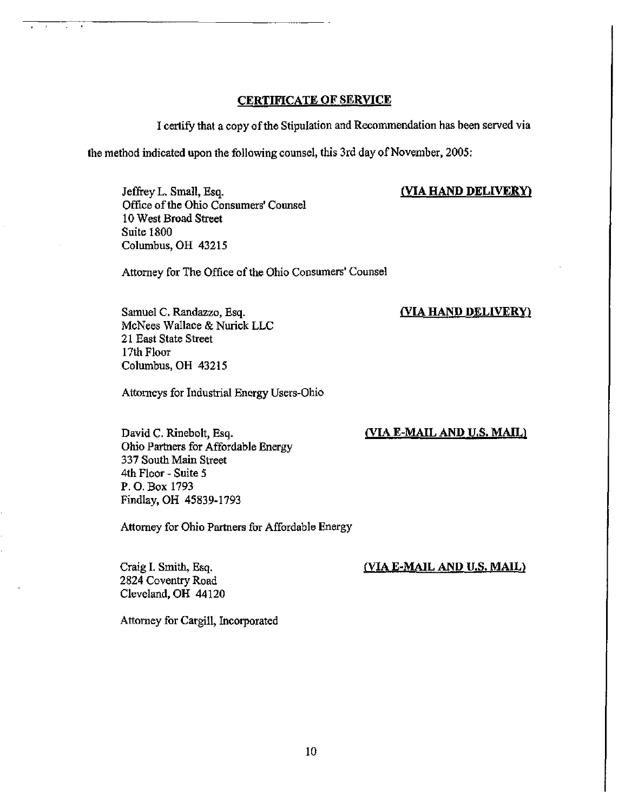#### CERTIFICATE OF SERVICE

I certify that a copy of the Stipulation and Recommendation has been served via

the method indicated upon the following counsel, this 3rd day of November, 2005:

#### (VIA HAND DELIVERY)

(VIA HAND DELIVERY)

Jeffrey L. Small, Esq. Office of the Ohio Consumers' Counsel 10 West Broad Street Suite 1800 Columbus, OH 43215

Attorney for The Office of the Ohio Consumers' Counsel

Samuel C. Randazzo, Esq. McNees Wallace & Nurick LLC 21 East State Street 17th Floor Columbus, OH 43215

Attorneys for Industrial Energy Users-Ohio

## (VIA E-MAIL AND US. MAIL)

David C. Rinebolt, Esq. Ohio Partners for Affordable Energy 337 South Mam Street 4th Floor - Suite 5 P.O. Box 1793 Findlay, OH 45839-1793

Attorney for Ohio Partners for Affordable Energy

Craig I. Smith, Esq. 2824 Coventry Road Cleveland, OH 44120

#### (VIA E-MAIL AND U.S. MAIL)

Attorney for Cargill, Incorporated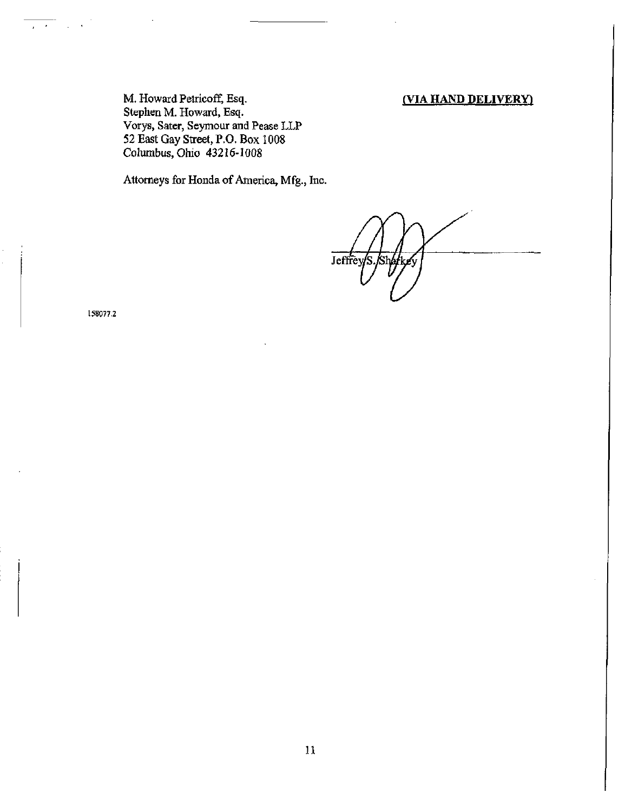#### (VIA HAND DELIVERY)

M, Howard Petricoff, Esq. Stephen M. Howard, Esq. Vorys, Sater, Seymour and Pease LLP 52 East Gay Street, P.O. Box 1008 Columbus, Ohio 43216-1008

Attorneys for Honda of America, Mfg., Inc.

Jeffrey /S

158077.2

 $\Delta$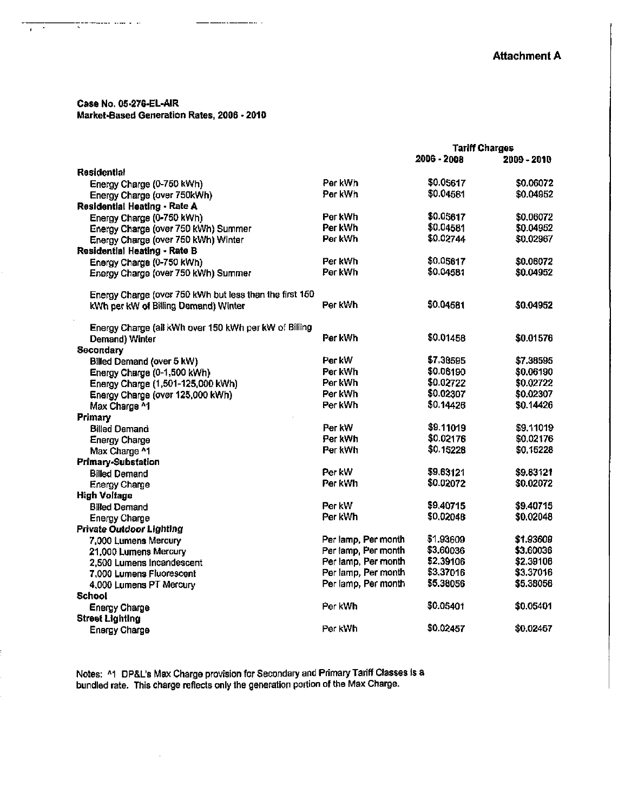#### Case No. 05-276-EL-AIR Market-Based Generation Rates, 2006 - 2010

. . . . . . .

. . . . . .

t

7  $\mathbf{r}$ 

|                                                         |                     | <b>Tariff Charges</b> |             |
|---------------------------------------------------------|---------------------|-----------------------|-------------|
|                                                         |                     | 2006 - 2008           | 2009 - 2010 |
| <b>Residential</b>                                      |                     |                       |             |
| Energy Charge (0-750 kWh)                               | Per kWh             | \$0.05617             | \$0.06072   |
| Energy Charge (over 750kWh)                             | Per kWh             | \$0.04581             | \$0.04952   |
| Residential Heating - Rate A                            |                     |                       |             |
| Energy Charge (0-750 kWh)                               | Per kWh             | \$0.05617             | \$0.06072   |
| Energy Charge (over 750 kWh) Summer                     | Per kWh             | \$0.04581             | \$0.04952   |
| Energy Charge (over 750 kWh) Winter                     | Per kWh             | \$0.02744             | \$0.02967   |
| Residential Heating - Rate B                            |                     |                       |             |
| Energy Charge (0-750 kWh)                               | Per kWh             | \$0.05617             | \$0.06072   |
| Energy Charge (over 750 kWh) Summer                     | Per kWh             | \$0.04581             | \$0.04952   |
|                                                         |                     |                       |             |
| Energy Charge (over 760 kWh but less than the first 160 |                     |                       |             |
| kWh per kW of Billing Demand) Winter                    | Per kWh             | \$0,04581             | \$0.04952   |
|                                                         |                     |                       |             |
| Energy Charge (all kWh over 150 kWh per kW of Billing   |                     |                       |             |
| Demand) Winter                                          | Per kWh             | \$0.01458             | \$0.01576   |
| Secondary                                               |                     |                       |             |
| Billed Demand (over 5 kW)                               | Per kW              | \$7,38595             | \$7.38595   |
| Energy Charge (0-1,500 kWh)                             | Per kWh             | \$0.06190             | \$0.06190   |
| Energy Charge (1,501-125,000 kWh)                       | Par kWh             | \$0.02722             | \$0.02722   |
| Energy Charge (over 125,000 kWh)                        | Per kWh             | \$0.02307             | \$0.02307   |
| Max Charge ^1                                           | Per kWh             | \$0.14426             | \$0.14426   |
| Primary                                                 |                     |                       |             |
| <b>Billed Demand</b>                                    | Per kW              | \$9 11019             | \$9.11019   |
| <b>Energy Charge</b>                                    | Per kWh             | \$0.02176             | \$0.02176   |
| Max Charge ^1                                           | Per kWh             | \$0.15228             | \$0,15228   |
| Primary-Substation                                      |                     |                       |             |
| <b>Billed Demand</b>                                    | Per kW              | \$9.63121             | \$9.83121   |
| <b>Energy Charge</b>                                    | Per k Wh            | \$0,02072             | \$0.02072   |
| <b>High Voltage</b>                                     |                     |                       |             |
| <b>Billed Demand</b>                                    | Per kW              | \$9,40715             | \$9,40715   |
| <b>Energy Charge</b>                                    | Per kWh             | \$0.02048             | \$0.02048   |
| <b>Private Outdoor Lighting</b>                         |                     |                       |             |
| 7,000 Lumens Mercury                                    | Per lamp, Per month | \$1.93609             | \$1.93609   |
| 21,000 Lumens Mercury                                   | Per lamp, Per month | \$3.60036             | \$3,60036   |
| 2.500 Lumens Incandescent                               | Per lamp, Per month | 52.39106              | \$2.39106   |
| 7,000 Lumens Fluorescent                                | Per lamp, Per month | 53.37016              | \$3.37016   |
| 4,000 Lumens PT Mercury                                 | Per lamp, Per month | \$5.38056             | \$5,38056   |
| School                                                  |                     |                       |             |
| <b>Energy Charge</b>                                    | Per kWh             | 50.05401              | \$0.05401   |
| <b>Street Lighting</b>                                  |                     |                       |             |
| <b>Enargy Charge</b>                                    | Per kWh             | \$0.02457             | \$0,02457   |
|                                                         |                     |                       |             |

Notes: ^1 DP&L's Max Charge provision for Secondary and Primary Tariff Classes is a bundled rate. This charge reflects only the generation portion of the Max Charge.

 $\sim$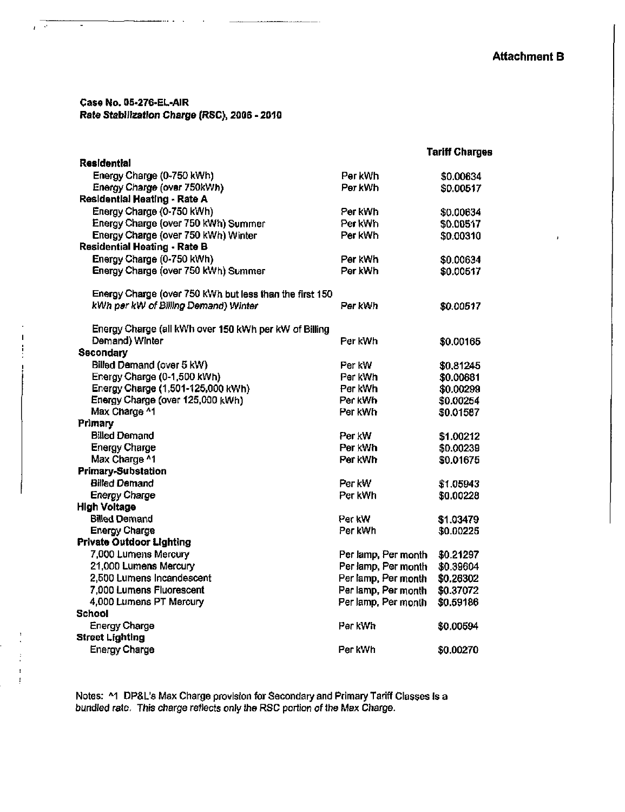#### Case No. 05-276-EL-AIR Rate Stabilization Charge (RSC), 2006-2010

 $\mathcal{A}^{\mathcal{A}}$ 

ï

 $\bar{1}$  $\cdot$  ÷,

|                                                         |                     | <b>Tariff Charges</b> |
|---------------------------------------------------------|---------------------|-----------------------|
| <b>Residential</b>                                      |                     |                       |
| Energy Charge (0-750 kWh)                               | Per kWh             | \$0.00634             |
| Energy Charge (over 750kWh)                             | Per kWh             | \$0,00517             |
| Residential Heating - Rate A                            |                     |                       |
| Energy Charge (0-750 kWh)                               | Per kWh             | \$0.00634             |
| Energy Charge (over 750 kWh) Summer                     | Per kWh             | \$0.00517             |
| Energy Charge (over 750 kWh) Winter                     | Per kWh             | \$0.00310             |
| <b>Residential Heating - Rate B</b>                     |                     |                       |
| Energy Charge (0-750 kWh)                               | Per kWh             | \$0.00634             |
| Energy Charge (over 750 kWh) Summer                     | Per kWh             | \$0.00517             |
| Energy Charge (over 750 kWh but less than the first 150 |                     |                       |
| kWh per kW of Billing Demand) Winter                    | Per kWh             | \$0.00517             |
| Energy Charge (all kWh over 150 kWh per kW of Billing   |                     |                       |
| Demand) Winter                                          | Per kWh             | \$0.00165             |
| <b>Secondary</b>                                        |                     |                       |
| Billed Demand (over 5 kW)                               | Per kW              | \$0,81245             |
| Energy Charge (0-1,500 kWh)                             | Per kWh             | \$0.00681             |
| Energy Charge (1,501-125,000 kWh)                       | Per kWh             | \$0.00299             |
| Energy Charge (over 125,000 kWh)                        | Per kWh             | \$0.00254             |
| Max Charge ^1                                           | Per kWh             | \$0.01587             |
| Primary                                                 |                     |                       |
| <b>Billed Demand</b>                                    | Per kW              | \$1.00212             |
| <b>Energy Charge</b>                                    | Per kWh             | \$0.00239             |
| Max Charge ^1                                           | Per kWh             | \$0.01675             |
| <b>Primary-Substation</b>                               |                     |                       |
| <b>Billed Demand</b>                                    | Per kW              | \$1.05943             |
| <b>Energy Charge</b>                                    | Per kWh             | \$0.00228             |
| <b>High Voltage</b>                                     |                     |                       |
| <b>Billed Demand</b>                                    | Per kW              | \$1.03479             |
| <b>Energy Charge</b>                                    | Per kWh             | \$0.00225             |
| <b>Private Outdoor Lighting</b>                         |                     |                       |
| 7,000 Lumens Mercury                                    | Per lamp, Per month | \$0.21297             |
| 21,000 Lumens Mercury                                   | Per lamp, Per month | \$0.39604             |
| 2,500 Lumens Incandescent                               | Per lamp, Per month | \$0.26302             |
| 7,000 Lumens Fluorescent                                | Per lamp, Per month | \$0.37072             |
| 4,000 Lumens PT Mercury                                 | Per lamp, Per month | \$0.59186             |
| School                                                  |                     |                       |
| <b>Energy Charge</b>                                    | Per kWh             | \$0,00594             |
| <b>Street Lighting</b>                                  |                     |                       |
| <b>Energy Charge</b>                                    | Per kWh             | \$0.00270             |

Notes; ^1 DP&L's Max Charge provision for Secondary and Primary Tariff Classes Is a bundled rate. This charge reflects only the RSC portion of the Max Charge.